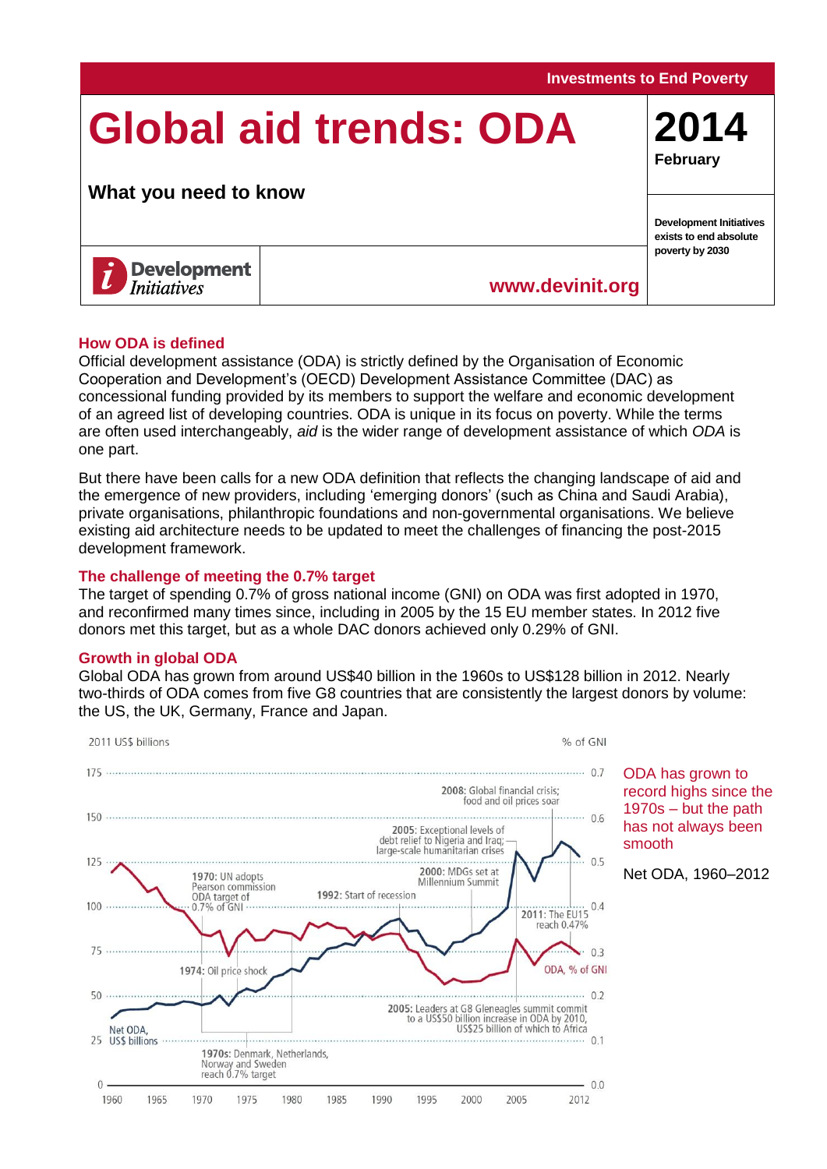# **Global aid trends: ODA**

## **What you need to know**



## **[www.devinit.org](http://www.devinit.org/)**

#### **How ODA is defined**

Official development assistance (ODA) is strictly defined by the Organisation of Economic Cooperation and Development's (OECD) Development Assistance Committee (DAC) as concessional funding provided by its members to support the welfare and economic development of an agreed list of developing countries. ODA is unique in its focus on poverty. While the terms are often used interchangeably, *aid* is the wider range of development assistance of which *ODA* is one part.

But there have been calls for a new ODA definition that reflects the changing landscape of aid and the emergence of new providers, including 'emerging donors' (such as China and Saudi Arabia), private organisations, philanthropic foundations and non-governmental organisations. We believe existing aid architecture needs to be updated to meet the challenges of financing the post-2015 development framework.

#### **The challenge of meeting the 0.7% target**

The target of spending 0.7% of gross national income (GNI) on ODA was first adopted in 1970, and reconfirmed many times since, including in 2005 by the 15 EU member states. In 2012 five donors met this target, but as a whole DAC donors achieved only 0.29% of GNI.

#### **Growth in global ODA**

Global ODA has grown from around US\$40 billion in the 1960s to US\$128 billion in 2012. Nearly two-thirds of ODA comes from five G8 countries that are consistently the largest donors by volume: the US, the UK, Germany, France and Japan.



ODA has grown to record highs since the 1970s – but the path has not always been smooth

Net ODA, 1960–2012

**Investments to End Poverty**

**2014 February**

**Development Initiatives exists to end absolute poverty by 2030**